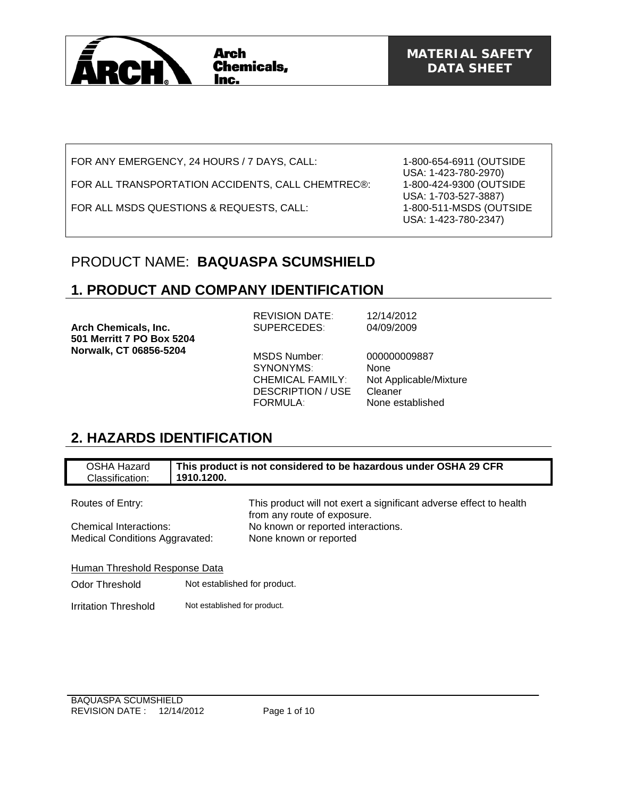

FOR ANY EMERGENCY, 24 HOURS / 7 DAYS, CALL:

FOR ALL TRANSPORTATION ACCIDENTS, CALL CHEMTREC®:

FOR ALL MSDS QUESTIONS & REQUESTS, CALL:

1-800-654-6911 (OUTSIDE USA: 1-423-780-2970) 1-800-424-9300 (OUTSIDE USA: 1-703-527-3887) 1-800-511-MSDS (OUTSIDE USA: 1-423-780-2347)

## PRODUCT NAME: **BAQUASPA SCUMSHIELD**

### **1. PRODUCT AND COMPANY IDENTIFICATION**

**Arch Chemicals, Inc. 501 Merritt 7 PO Box 5204 Norwalk, CT 06856-5204** 

REVISION DATE: 12/14/2012 SUPERCEDES: 04/09/2009

SYNONYMS: None DESCRIPTION / USE Cleaner FORMULA: None established

MSDS Number: 000000009887 CHEMICAL FAMILY: Not Applicable/Mixture

## **2. HAZARDS IDENTIFICATION**

| <b>OSHA Hazard</b><br>Classification: | 1910.1200.                   | This product is not considered to be hazardous under OSHA 29 CFR                                  |  |
|---------------------------------------|------------------------------|---------------------------------------------------------------------------------------------------|--|
|                                       |                              |                                                                                                   |  |
| Routes of Entry:                      |                              | This product will not exert a significant adverse effect to health<br>from any route of exposure. |  |
| Chemical Interactions:                |                              | No known or reported interactions.                                                                |  |
| <b>Medical Conditions Aggravated:</b> |                              | None known or reported                                                                            |  |
| Human Threshold Response Data         |                              |                                                                                                   |  |
| Odor Threshold                        | Not established for product. |                                                                                                   |  |
| Irritation Threshold                  | Not established for product. |                                                                                                   |  |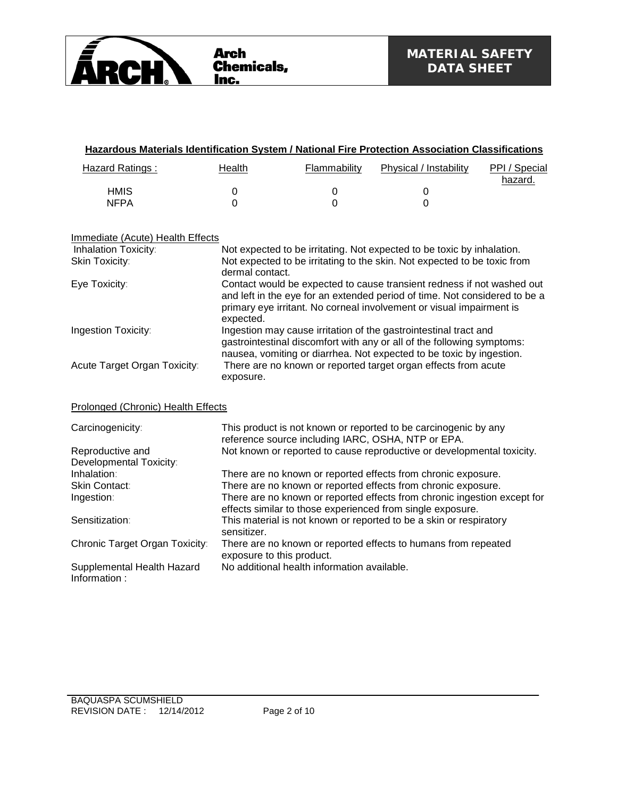

| <b>Hazardous Materials Identification System / National Fire Protection Association Classifications</b> |                                                                                                                                                                                                                                           |                                             |                                                                                                                                        |                          |
|---------------------------------------------------------------------------------------------------------|-------------------------------------------------------------------------------------------------------------------------------------------------------------------------------------------------------------------------------------------|---------------------------------------------|----------------------------------------------------------------------------------------------------------------------------------------|--------------------------|
| <b>Hazard Ratings:</b>                                                                                  | <b>Health</b>                                                                                                                                                                                                                             | Flammability                                | Physical / Instability                                                                                                                 | PPI / Special<br>hazard. |
| <b>HMIS</b>                                                                                             | 0                                                                                                                                                                                                                                         | $\mathbf 0$                                 | 0                                                                                                                                      |                          |
| <b>NFPA</b>                                                                                             | $\overline{0}$                                                                                                                                                                                                                            | 0                                           | $\overline{0}$                                                                                                                         |                          |
| Immediate (Acute) Health Effects                                                                        |                                                                                                                                                                                                                                           |                                             |                                                                                                                                        |                          |
| Inhalation Toxicity:                                                                                    |                                                                                                                                                                                                                                           |                                             | Not expected to be irritating. Not expected to be toxic by inhalation.                                                                 |                          |
| Skin Toxicity:                                                                                          | dermal contact.                                                                                                                                                                                                                           |                                             | Not expected to be irritating to the skin. Not expected to be toxic from                                                               |                          |
| Eye Toxicity:                                                                                           | Contact would be expected to cause transient redness if not washed out<br>and left in the eye for an extended period of time. Not considered to be a<br>primary eye irritant. No corneal involvement or visual impairment is<br>expected. |                                             |                                                                                                                                        |                          |
| Ingestion Toxicity:                                                                                     | Ingestion may cause irritation of the gastrointestinal tract and<br>gastrointestinal discomfort with any or all of the following symptoms:<br>nausea, vomiting or diarrhea. Not expected to be toxic by ingestion.                        |                                             |                                                                                                                                        |                          |
| Acute Target Organ Toxicity:                                                                            | exposure.                                                                                                                                                                                                                                 |                                             | There are no known or reported target organ effects from acute                                                                         |                          |
| Prolonged (Chronic) Health Effects                                                                      |                                                                                                                                                                                                                                           |                                             |                                                                                                                                        |                          |
| Carcinogenicity:                                                                                        |                                                                                                                                                                                                                                           |                                             | This product is not known or reported to be carcinogenic by any<br>reference source including IARC, OSHA, NTP or EPA.                  |                          |
| Reproductive and                                                                                        |                                                                                                                                                                                                                                           |                                             | Not known or reported to cause reproductive or developmental toxicity.                                                                 |                          |
| Developmental Toxicity:                                                                                 |                                                                                                                                                                                                                                           |                                             |                                                                                                                                        |                          |
| Inhalation:                                                                                             |                                                                                                                                                                                                                                           |                                             | There are no known or reported effects from chronic exposure.                                                                          |                          |
| <b>Skin Contact:</b>                                                                                    |                                                                                                                                                                                                                                           |                                             | There are no known or reported effects from chronic exposure.                                                                          |                          |
| Ingestion:                                                                                              |                                                                                                                                                                                                                                           |                                             | There are no known or reported effects from chronic ingestion except for<br>effects similar to those experienced from single exposure. |                          |
| Sensitization:                                                                                          | sensitizer.                                                                                                                                                                                                                               |                                             | This material is not known or reported to be a skin or respiratory                                                                     |                          |
| Chronic Target Organ Toxicity:                                                                          | exposure to this product.                                                                                                                                                                                                                 |                                             | There are no known or reported effects to humans from repeated                                                                         |                          |
| Supplemental Health Hazard<br>Information:                                                              |                                                                                                                                                                                                                                           | No additional health information available. |                                                                                                                                        |                          |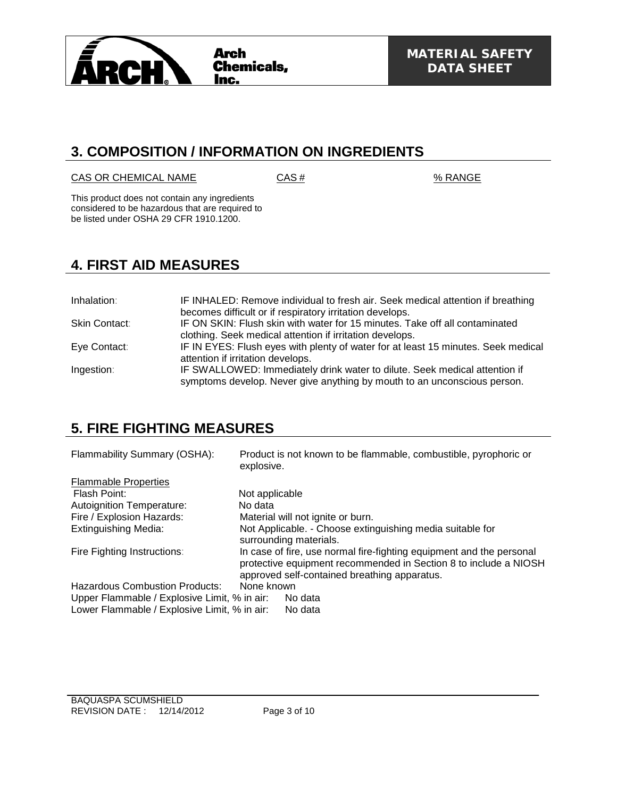

### **3. COMPOSITION / INFORMATION ON INGREDIENTS**

#### $CAS OR CHEMICAL NAME$   $CAS #$   $% RANGE$

This product does not contain any ingredients considered to be hazardous that are required to be listed under OSHA 29 CFR 1910.1200.

## **4. FIRST AID MEASURES**

| Inhalation:   | IF INHALED: Remove individual to fresh air. Seek medical attention if breathing<br>becomes difficult or if respiratory irritation develops.            |
|---------------|--------------------------------------------------------------------------------------------------------------------------------------------------------|
|               |                                                                                                                                                        |
| Skin Contact: | IF ON SKIN: Flush skin with water for 15 minutes. Take off all contaminated<br>clothing. Seek medical attention if irritation develops.                |
| Eye Contact:  | IF IN EYES: Flush eyes with plenty of water for at least 15 minutes. Seek medical                                                                      |
|               | attention if irritation develops.                                                                                                                      |
| Ingestion:    | IF SWALLOWED: Immediately drink water to dilute. Seek medical attention if<br>symptoms develop. Never give anything by mouth to an unconscious person. |

# **5. FIRE FIGHTING MEASURES**

| Flammability Summary (OSHA):                 | Product is not known to be flammable, combustible, pyrophoric or<br>explosive.                                                                                                           |
|----------------------------------------------|------------------------------------------------------------------------------------------------------------------------------------------------------------------------------------------|
| <b>Flammable Properties</b>                  |                                                                                                                                                                                          |
| Flash Point:                                 | Not applicable                                                                                                                                                                           |
| <b>Autoignition Temperature:</b>             | No data                                                                                                                                                                                  |
| Fire / Explosion Hazards:                    | Material will not ignite or burn.                                                                                                                                                        |
| <b>Extinguishing Media:</b>                  | Not Applicable. - Choose extinguishing media suitable for<br>surrounding materials.                                                                                                      |
| Fire Fighting Instructions:                  | In case of fire, use normal fire-fighting equipment and the personal<br>protective equipment recommended in Section 8 to include a NIOSH<br>approved self-contained breathing apparatus. |
| <b>Hazardous Combustion Products:</b>        | None known                                                                                                                                                                               |
| Upper Flammable / Explosive Limit, % in air: | No data                                                                                                                                                                                  |
| Lower Flammable / Explosive Limit, % in air: | No data                                                                                                                                                                                  |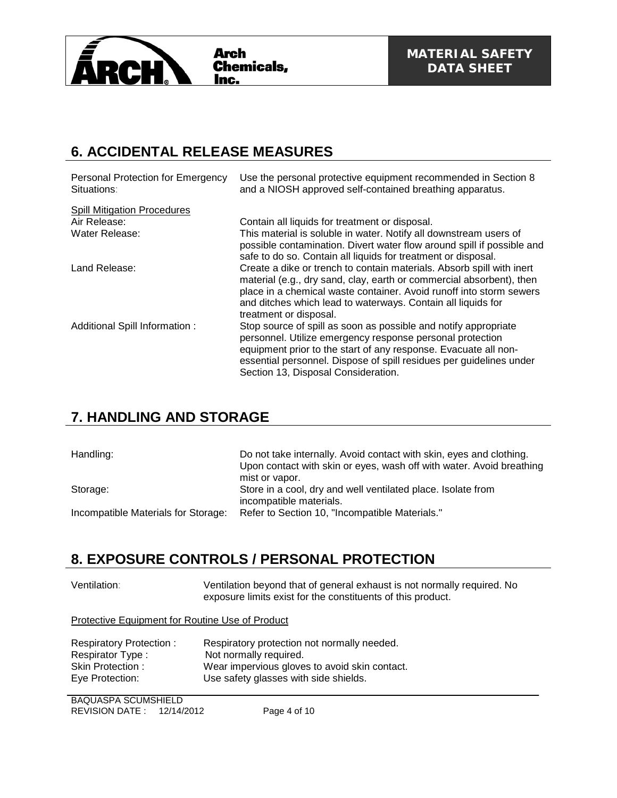

## **6. ACCIDENTAL RELEASE MEASURES**

| <b>Personal Protection for Emergency</b><br>Situations: | Use the personal protective equipment recommended in Section 8<br>and a NIOSH approved self-contained breathing apparatus.                                                                                                                                                                                     |
|---------------------------------------------------------|----------------------------------------------------------------------------------------------------------------------------------------------------------------------------------------------------------------------------------------------------------------------------------------------------------------|
| <b>Spill Mitigation Procedures</b>                      |                                                                                                                                                                                                                                                                                                                |
| Air Release:                                            | Contain all liquids for treatment or disposal.                                                                                                                                                                                                                                                                 |
| Water Release:                                          | This material is soluble in water. Notify all downstream users of                                                                                                                                                                                                                                              |
|                                                         | possible contamination. Divert water flow around spill if possible and<br>safe to do so. Contain all liquids for treatment or disposal.                                                                                                                                                                        |
| Land Release:                                           | Create a dike or trench to contain materials. Absorb spill with inert<br>material (e.g., dry sand, clay, earth or commercial absorbent), then<br>place in a chemical waste container. Avoid runoff into storm sewers<br>and ditches which lead to waterways. Contain all liquids for<br>treatment or disposal. |
| Additional Spill Information :                          | Stop source of spill as soon as possible and notify appropriate                                                                                                                                                                                                                                                |
|                                                         | personnel. Utilize emergency response personal protection                                                                                                                                                                                                                                                      |
|                                                         | equipment prior to the start of any response. Evacuate all non-<br>essential personnel. Dispose of spill residues per guidelines under                                                                                                                                                                         |
|                                                         | Section 13, Disposal Consideration.                                                                                                                                                                                                                                                                            |

## **7. HANDLING AND STORAGE**

| Handling:                           | Do not take internally. Avoid contact with skin, eyes and clothing.<br>Upon contact with skin or eyes, wash off with water. Avoid breathing<br>mist or vapor. |
|-------------------------------------|---------------------------------------------------------------------------------------------------------------------------------------------------------------|
| Storage:                            | Store in a cool, dry and well ventilated place. Isolate from<br>incompatible materials.                                                                       |
| Incompatible Materials for Storage: | Refer to Section 10, "Incompatible Materials."                                                                                                                |

### **8. EXPOSURE CONTROLS / PERSONAL PROTECTION**

| Ventilation: | Ventilation beyond that of general exhaust is not normally required. No |
|--------------|-------------------------------------------------------------------------|
|              | exposure limits exist for the constituents of this product.             |

Protective Equipment for Routine Use of Product

| Respiratory Protection: | Respiratory protection not normally needed.   |
|-------------------------|-----------------------------------------------|
| Respirator Type:        | Not normally required.                        |
| Skin Protection:        | Wear impervious gloves to avoid skin contact. |
| Eye Protection:         | Use safety glasses with side shields.         |

BAQUASPA SCUMSHIELD REVISION DATE : 12/14/2012 Page 4 of 10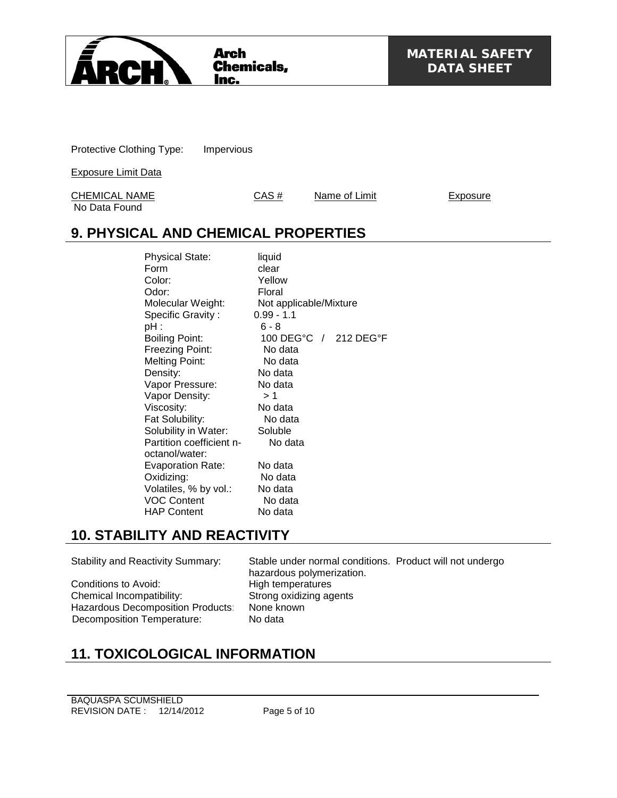

Protective Clothing Type: Impervious

Exposure Limit Data

CHEMICAL NAME CAS # Name of Limit Exposure No Data Found

# **9. PHYSICAL AND CHEMICAL PROPERTIES**

Physical State: liquid Form clear<br>Color: Yello Yellow Odor: Floral Molecular Weight: Not applicable/Mixture<br>Specific Gravity: 0.99 - 1.1 Specific Gravity :<br>pH : pH : 6 - 8<br>Boiling Point: 6 - 8 100 DEG°C / 212 DEG°F<br>No data Freezing Point: Melting Point: No data Density: No data<br>Vapor Pressure: No data Vapor Pressure: Vapor Density:  $> 1$ Viscosity: No data<br>
Fat Solubility: No data Fat Solubility: No dat<br>Solubility in Water: Soluble Solubility in Water: Partition coefficient noctanol/water: No data Evaporation Rate: No data Oxidizing: No data<br>
Volatiles. % by vol.: No data Volatiles,  $%$  by vol.: VOC Content No data HAP Content No data

## **10. STABILITY AND REACTIVITY**

Conditions to Avoid: Chemical Incompatibility: Strong oxidizing agents<br>Hazardous Decomposition Products: None known Hazardous Decomposition Products: Decomposition Temperature: No data

Stability and Reactivity Summary: Stable under normal conditions. Product will not undergo hazardous polymerization.<br>High temperatures

# **11. TOXICOLOGICAL INFORMATION**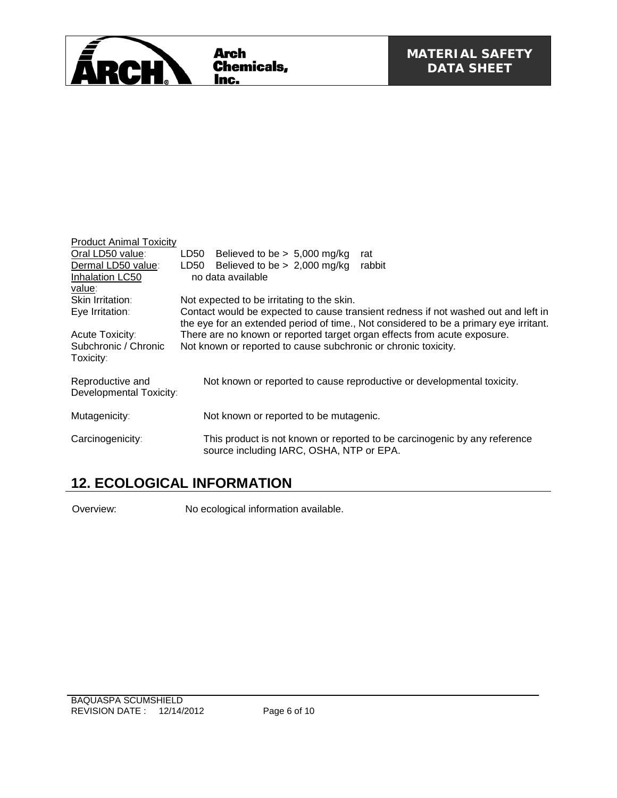

| <b>Product Animal Toxicity</b><br>Oral LD50 value:<br>Dermal LD50 value:<br>Inhalation LC50<br>value: | Believed to be $> 5,000$ mg/kg<br>LD50<br>rat<br>Believed to be $> 2,000$ mg/kg<br>LD50<br>rabbit<br>no data available                                                      |
|-------------------------------------------------------------------------------------------------------|-----------------------------------------------------------------------------------------------------------------------------------------------------------------------------|
| Skin Irritation:                                                                                      | Not expected to be irritating to the skin.                                                                                                                                  |
| Eye Irritation:                                                                                       | Contact would be expected to cause transient redness if not washed out and left in<br>the eye for an extended period of time., Not considered to be a primary eye irritant. |
| Acute Toxicity:                                                                                       | There are no known or reported target organ effects from acute exposure.                                                                                                    |
| Subchronic / Chronic<br>Toxicity:                                                                     | Not known or reported to cause subchronic or chronic toxicity.                                                                                                              |
| Reproductive and<br>Developmental Toxicity:                                                           | Not known or reported to cause reproductive or developmental toxicity.                                                                                                      |
| Mutagenicity:                                                                                         | Not known or reported to be mutagenic.                                                                                                                                      |
| Carcinogenicity:                                                                                      | This product is not known or reported to be carcinogenic by any reference<br>source including IARC, OSHA, NTP or EPA.                                                       |

# **12. ECOLOGICAL INFORMATION**

Overview: No ecological information available.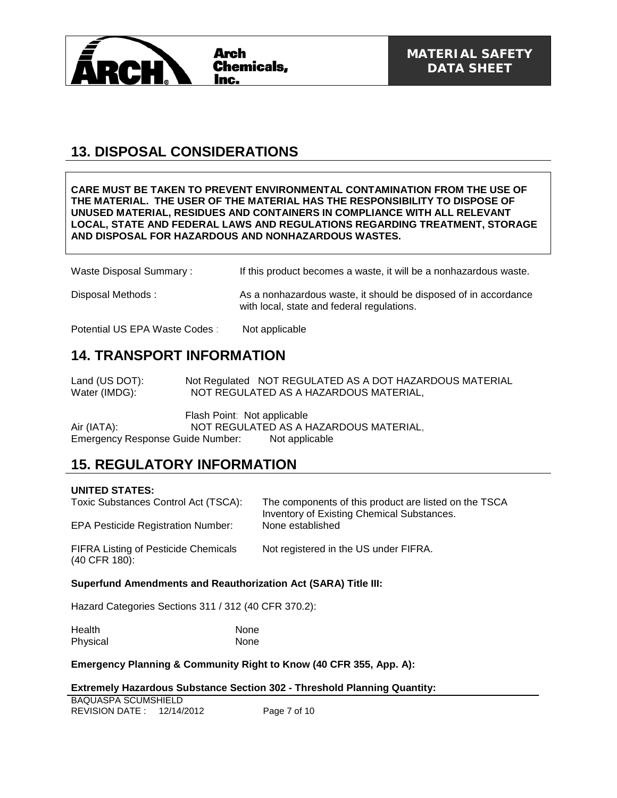

# **13. DISPOSAL CONSIDERATIONS**

#### **CARE MUST BE TAKEN TO PREVENT ENVIRONMENTAL CONTAMINATION FROM THE USE OF THE MATERIAL. THE USER OF THE MATERIAL HAS THE RESPONSIBILITY TO DISPOSE OF UNUSED MATERIAL, RESIDUES AND CONTAINERS IN COMPLIANCE WITH ALL RELEVANT LOCAL, STATE AND FEDERAL LAWS AND REGULATIONS REGARDING TREATMENT, STORAGE AND DISPOSAL FOR HAZARDOUS AND NONHAZARDOUS WASTES.**

| Waste Disposal Summary: | If this product becomes a waste, it will be a nonhazardous waste. |
|-------------------------|-------------------------------------------------------------------|
|-------------------------|-------------------------------------------------------------------|

Disposal Methods : As a nonhazardous waste, it should be disposed of in accordance with local, state and federal regulations.

Potential US EPA Waste Codes : Not applicable

## **14. TRANSPORT INFORMATION**

Land (US DOT): Not Regulated NOT REGULATED AS A DOT HAZARDOUS MATERIAL Water (IMDG): NOT REGULATED AS A HAZARDOUS MATERIAL,

Flash Point: Not applicable Air (IATA): NOT REGULATED AS A HAZARDOUS MATERIAL, Emergency Response Guide Number: Not applicable

### **15. REGULATORY INFORMATION**

#### **UNITED STATES:**

| Toxic Substances Control Act (TSCA):<br>EPA Pesticide Registration Number: | The components of this product are listed on the TSCA<br>Inventory of Existing Chemical Substances.<br>None established |
|----------------------------------------------------------------------------|-------------------------------------------------------------------------------------------------------------------------|
| <b>FIFRA Listing of Pesticide Chemicals</b><br>(40 CFR 180):               | Not registered in the US under FIFRA.                                                                                   |

#### **Superfund Amendments and Reauthorization Act (SARA) Title III:**

Hazard Categories Sections 311 / 312 (40 CFR 370.2):

| Health   | None |
|----------|------|
| Physical | None |

**Emergency Planning & Community Right to Know (40 CFR 355, App. A):**

#### **Extremely Hazardous Substance Section 302 - Threshold Planning Quantity:**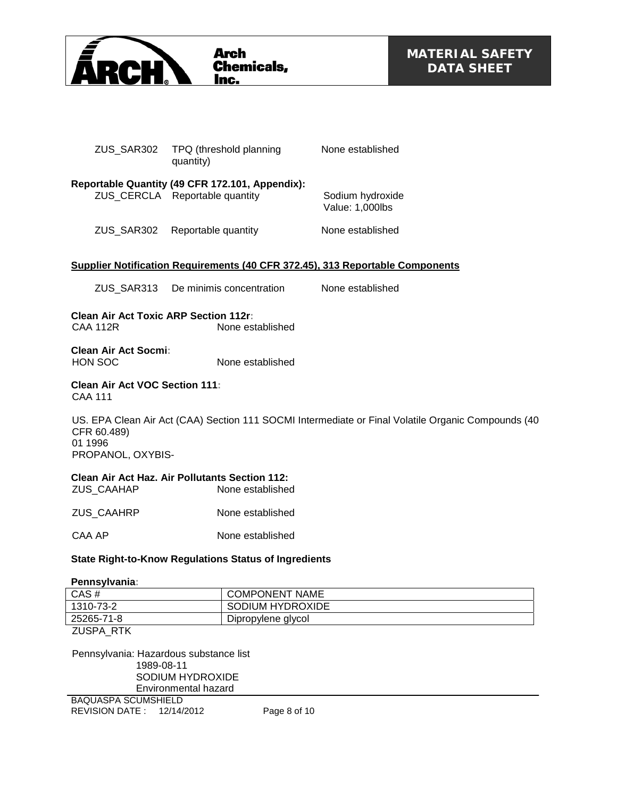

| ZUS SAR302 | TPQ (threshold planning<br>quantity)                                              | None established                    |
|------------|-----------------------------------------------------------------------------------|-------------------------------------|
|            | Reportable Quantity (49 CFR 172.101, Appendix):<br>ZUS CERCLA Reportable quantity | Sodium hydroxide<br>Value: 1,000lbs |
| ZUS SAR302 | Reportable quantity                                                               | None established                    |

#### **Supplier Notification Requirements (40 CFR 372.45), 313 Reportable Components**

| ZUS SAR313 | De minimis concentration | None established |
|------------|--------------------------|------------------|
|            |                          |                  |

**Clean Air Act Toxic ARP Section 112r:** None established

**Clean Air Act Socmi:** HON SOC None established

#### **Clean Air Act VOC Section 111:** CAA 111

US. EPA Clean Air Act (CAA) Section 111 SOCMI Intermediate or Final Volatile Organic Compounds (40 CFR 60.489) 01 1996 PROPANOL, OXYBIS-

### **Clean Air Act Haz. Air Pollutants Section 112:**

| None established |
|------------------|
|                  |

ZUS CAAHRP None established

CAA AP None established

#### **State Right-to-Know Regulations Status of Ingredients**

**Pennsylvania:**

| CAS#           | <b>COMPONENT NAME</b> |  |
|----------------|-----------------------|--|
| 1310-73-2      | SODIUM HYDROXIDE      |  |
| 25265-71-8     | Dipropylene glycol    |  |
| $711001$ $071$ |                       |  |

ZUSPA\_RTK

Pennsylvania: Hazardous substance list 1989-08-11 SODIUM HYDROXIDE Environmental hazard

BAQUASPA SCUMSHIELD REVISION DATE : 12/14/2012 Page 8 of 10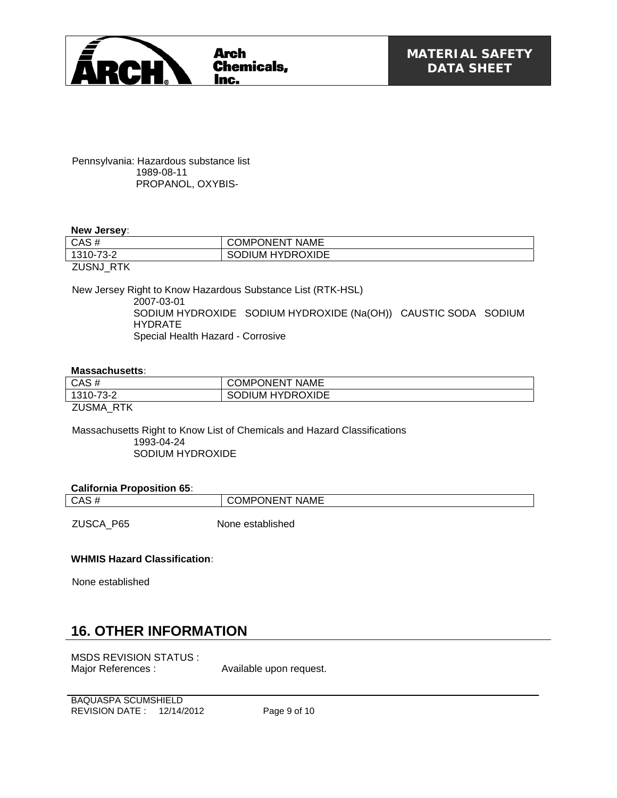

Pennsylvania: Hazardous substance list 1989-08-11 PROPANOL, OXYBIS-

#### **New Jersey:**

| CAS#                               | <b>NAME</b><br><b>JNENT</b><br>)MP |
|------------------------------------|------------------------------------|
| <u>מ מד</u><br>∠־י<br>- 310-4<br>v | <b>HYDROXIDE</b><br>UM.<br>ுப      |
| 71101110777                        |                                    |

ZUSNJ\_RTK

New Jersey Right to Know Hazardous Substance List (RTK-HSL) 2007-03-01 SODIUM HYDROXIDE SODIUM HYDROXIDE (Na(OH)) CAUSTIC SODA SODIUM HYDRATE

Special Health Hazard - Corrosive

#### **Massachusetts:**

| CAS#        | <b>COMPONENT NAME</b>   |
|-------------|-------------------------|
| 1310-73-2   | <b>SODIUM HYDROXIDE</b> |
| 7110111 F17 |                         |

ZUSMA\_RTK

Massachusetts Right to Know List of Chemicals and Hazard Classifications 1993-04-24 SODIUM HYDROXIDE

#### **California Proposition 65:**

| ______<br>____<br>.<br>CAS | <b>NAME</b><br>JМF<br>∋N⊢N |
|----------------------------|----------------------------|
|                            |                            |

ZUSCA\_P65 None established

#### **WHMIS Hazard Classification:**

None established

### **16. OTHER INFORMATION**

MSDS REVISION STATUS : Major References : Available upon request.